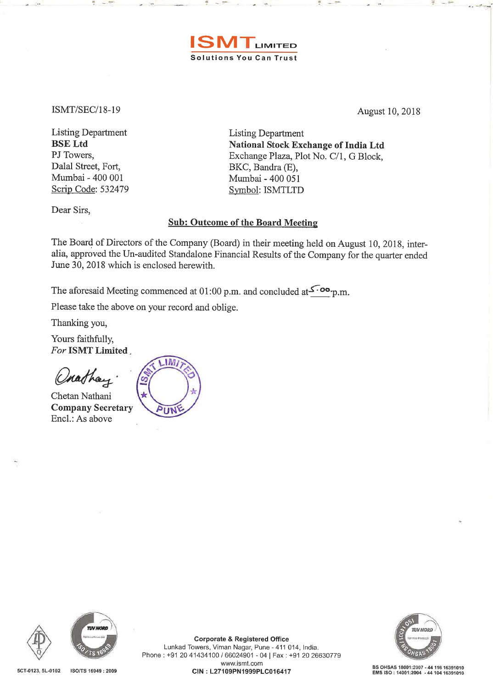

ISMT /SEC/18-19

<sup>~</sup>..

August 10, 2018

<sup>~</sup>..

Listing Department BSE Ltd PJ Towers, Dalal Street, Fort, Mumbai- 400 001 Scrip Code: 532479 Listing Department National Stock Exchange of India Ltd Exchange Plaza, Plot No. C/1, G Block, BKC, Bandra (E), Mumbai - 400 051 Symbol: ISMTLTD

Dear Sirs,

## Sub: Outcome of the Board Meeting

The Board of Directors of the Company (Board) in their meeting held on August 10, 2018, interalia, approved the Un-audited Standalone Financial Results of the Company for the quarter ended June 30, 2018 which is enclosed herewith.

The aforesaid Meeting commenced at 01:00 p.m. and concluded at  $\sim$   $\infty$ -p.m.

Please take the above on your record and oblige.

~ ..

Thanking you,

Yours faithfully, *For* ISMT Limited ..

Chathay

Chetan Nathani Company Secretary Encl.: As above

**IM** IIN







**Corporate & Registered Office**<br>
Lunkad Towers, Viman Nagar, Pune - 411 014, India.<br>
Phone : +91 20 41434100 / 66024901 - 04 | Fax : +91 20 26630779 Lunkad Towers, Viman Nagar, Pune- 411 014, India. www.ismt.com SCT-0123, SL-0102 150/TS 16949 : 2009 CIN: L27109PN1999PLC016417 BS OHSAS 18001:2007 • <sup>4411616391010</sup> EMS ISO: 14001:2004 -4410416391010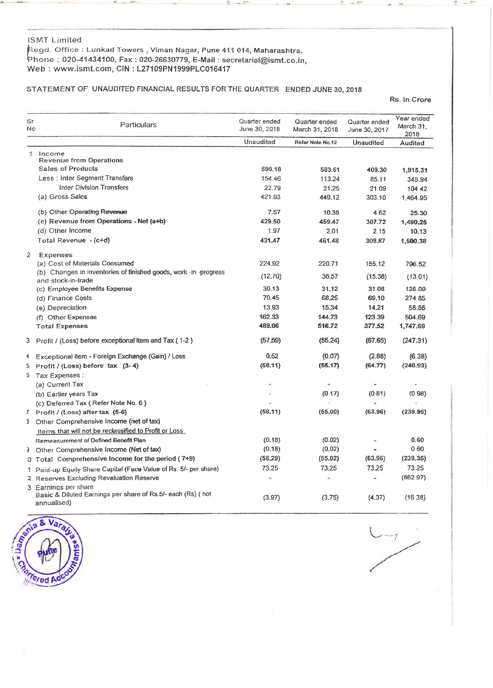### lSMT Limited

~<egd. Office: Lunkad Towers, Viman Nagar, Pune 411 014, Maharashtra. Phone : 020-41434100, Fax: 020-26630779, E-Mail: secretarial@ismt.co.in, Web : www.ismtcom, CIN : L27109PN1999PLC016417

## STATEMENT OF UNAUDITED FINANCIAL RESULTS FOR THE QUARTER ENDED JUNE 30, <sup>2018</sup>

Rs. in Crore

| Sr<br>No       | Particulars                                                                                        | Quarter ended<br>June 30, 2018 | Quarter ended<br>March 31, 2018 | Quarter ended<br>June 30, 2017 | Year ended<br>March 31,<br>2018 |
|----------------|----------------------------------------------------------------------------------------------------|--------------------------------|---------------------------------|--------------------------------|---------------------------------|
|                |                                                                                                    | Unaudited                      | Refer Note No.12                | Unaudited                      | Audited                         |
| $\mathbf{1}$   | Income<br><b>Revenue from Operations</b>                                                           |                                |                                 |                                |                                 |
|                | <b>Sales of Products</b>                                                                           | 599.18                         | 583.61                          | 409.30                         | 1,915.31                        |
|                | Less: Inter Segment Transfers                                                                      | 154.46                         | 113.24                          | 85.11                          | 345.94                          |
|                | <b>Inter Division Transfers</b>                                                                    | 22.79                          | 21.25                           | 21 09                          | 104 42                          |
|                | (a) Gross Sales                                                                                    | 421.93                         | 449.12                          | 303.10                         | 1,464.95                        |
|                | (b) Other Operating Revenue                                                                        | 7.57                           | 10.35                           | 4.62                           | 25.30                           |
|                | (c) Revenue from Operations - Net (a+b)                                                            | 429.50                         | 459.47                          | 307.72                         | 1.490.25                        |
|                | (d) Other Income                                                                                   | 1.97                           | 2.01                            | 2.15                           | 10.13                           |
|                | Total Revenue - (c+d)                                                                              | 431.47                         | 461.48                          | 309.87                         | 1,500.38                        |
| $\overline{2}$ | Expenses                                                                                           |                                |                                 |                                |                                 |
|                | (a) Cost of Materials Consumed                                                                     | 224.92                         | 220.71                          | 155.12                         | 796.52                          |
|                | (b) Changes in inventories of finished goods, work -in -progress<br>and stock-in-trade             | (12.70)                        | 36.57                           | (15.36)                        | (13.01)                         |
|                | (c) Employee Benefits Expense                                                                      | 30.13                          | 31.12                           | 31.08                          | 126.09                          |
|                | (d) Finance Costs                                                                                  | 70.45                          | 68.25                           | 69.10                          | 274 85                          |
|                | (e) Depreciation                                                                                   | 13.93                          | 15.34                           | 14.21                          | 58.55                           |
|                | (f) Other Expenses                                                                                 | 162.33                         | 144.73                          | 123.39                         | 504.69                          |
|                | <b>Total Expenses</b>                                                                              | 489.06                         | 516.72                          | 377.52                         | 1,747.69                        |
| 3.             | Profit / (Loss) before exceptional item and Tax (1-2)                                              | (57.59)                        | (55.24)                         | (67.65)                        | (247.31)                        |
| 4              | Exceptional item - Foreign Exchange (Gain) / Loss                                                  | 0.52                           | (0.07)                          | (2.88)                         | (638)                           |
| 5              | Profit / (Loss) before $\text{tax}$ (3-4)                                                          | (58.11)                        | (55.17)                         | (64.77)                        | (240.93)                        |
| 5              | Tax Expenses :                                                                                     |                                |                                 |                                |                                 |
|                | (a) Current Tax                                                                                    |                                | $\equiv$                        |                                |                                 |
|                | (b) Earlier years Tax                                                                              |                                | (017)                           | (0.81)                         | (0.98)                          |
|                | (c) Deferred Tax (Refer Note No. 6)                                                                |                                |                                 |                                |                                 |
|                | 7 Profit / (Loss) after tax (5-6)                                                                  | (58.11)                        | (55.00)                         | (63.96)                        | (239.95)                        |
|                | 3 Other Comprehensive Income (net of tax)                                                          |                                |                                 |                                |                                 |
|                | Items that will not be reclassified to Profit or Loss                                              |                                |                                 |                                |                                 |
|                | Remeasurement of Defined Benefit Plan                                                              | (0.18)                         | (0.02)                          |                                | 0.60                            |
|                | 3 Other Comprehensive Income (Net of tax)                                                          | (0.18)                         | (0.02)                          |                                | 0.60                            |
|                | 0 Total Comprehensive Income for the period (7+9)                                                  | (58, 29)                       | (55.02)                         | (63.96)                        | (239.35)                        |
|                | 1 Paid-up Equily Share Capilal (Face Value of Rs. 5/- per share)                                   | 73.25                          | 73.25                           | 73.25                          | 73.25                           |
|                | 2 Reserves Excluding Revaluation Reserve                                                           |                                | ٠                               |                                | (86297)                         |
|                | 3 Earnings per share<br>Basic & Diluted Earnings per share of Rs.5/- each (Rs) (not<br>annualised) | (3.97)                         | (3.75)                          | (4.37)                         | (1638)                          |



 $C_{-7}$ /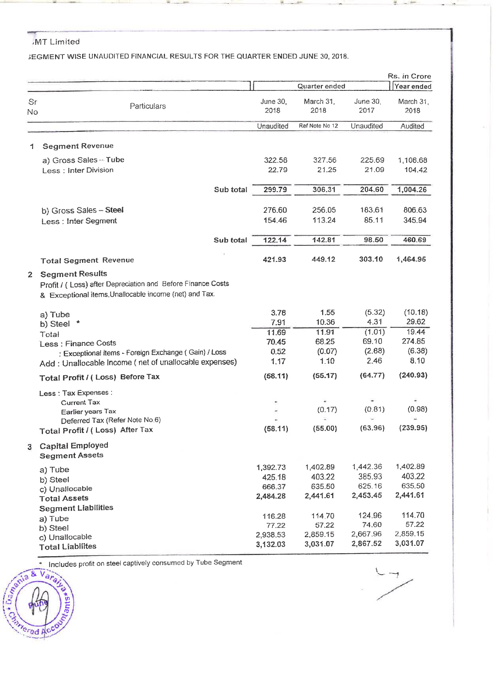# ....,r---- --- --------- ,MT Limited

3EGMENT WISE UNAUDITED FINANCIAL RESULTS FOR THE QUARTER ENDED JUNE 30, 2018.

|              |                                                                                                                                                 |           |                                          | Quarter ended                            |                                          | Rs. in Crore<br>Year ended                         |
|--------------|-------------------------------------------------------------------------------------------------------------------------------------------------|-----------|------------------------------------------|------------------------------------------|------------------------------------------|----------------------------------------------------|
| Sr<br>No     | Particulars                                                                                                                                     |           | <b>June 30,</b><br>2018                  | March 31,<br>2018                        | June 30,<br>2017                         | March 31,<br>2018                                  |
|              |                                                                                                                                                 |           | Unaudited                                | Ref Note No 12                           | Unaudited                                | Audited                                            |
| 1            | <b>Segment Revenue</b>                                                                                                                          |           |                                          |                                          |                                          |                                                    |
|              | a) Gross Sales - Tube<br>Less: Inter Division                                                                                                   |           | 322.58<br>22.79                          | 327.56<br>21.25                          | 225.69<br>21.09                          | 1,108.68<br>104.42                                 |
|              |                                                                                                                                                 | Sub total | 299.79                                   | 306.31                                   | 204.60                                   | 1,004.26                                           |
|              | b) Gross Sales - Steel<br>Less: Inter Segment                                                                                                   |           | 276.60<br>154.46                         | 256.05<br>113.24                         | 183.61<br>85.11                          | 806.63<br>345.94                                   |
|              |                                                                                                                                                 | Sub total | 122.14                                   | 142.81                                   | 98.50                                    | 460.69                                             |
|              | <b>Total Segment Revenue</b>                                                                                                                    |           | 421.93                                   | 449.12                                   | 303.10                                   | 1,464.95                                           |
| $\mathbf{2}$ | <b>Segment Results</b><br>Profit / (Loss) after Depreciation and Before Finance Costs<br>& Exceptional items, Unallocable income (net) and Tax. |           |                                          |                                          |                                          |                                                    |
|              | a) Tube<br>×<br>b) Steel                                                                                                                        |           | 3.78<br>7.91                             | 1.55<br>10.36                            | (5.32)<br>4.31                           | (10.18)<br>29.62                                   |
|              | Total<br>Less: Finance Costs<br>: Exceptional items - Foreign Exchange (Gain) / Loss<br>Add: Unallocable Income (net of unallocable expenses)   |           | 11.69<br>70.45<br>0.52<br>1.17           | 11.91<br>68.25<br>(0.07)<br>1.10         | (1.01)<br>69.10<br>(2.88)<br>2.46        | 19.44<br>274.85<br>(6.38)<br>8.10                  |
|              | Total Profit / (Loss) Before Tax                                                                                                                |           | (58.11)                                  | (55.17)                                  | (64.77)                                  | (240.93)                                           |
|              | Less : Tax Expenses :<br><b>Current Tax</b><br>Earlier years Tax<br>Deferred Tax (Refer Note No.6)<br>Total Profit / (Loss) After Tax           |           | (58.11)                                  | (0.17)<br>U)<br>(55.00)                  | (0.81)<br>(63.96)                        | (0.98)<br>(239.95)                                 |
| 3            | <b>Capital Employed</b><br><b>Segment Assets</b>                                                                                                |           |                                          |                                          |                                          |                                                    |
|              | a) Tube<br>b) Steel<br>c) Unallocable<br><b>Total Assets</b><br><b>Segment Liabilities</b>                                                      |           | 1,392.73<br>425.18<br>666.37<br>2,484.28 | 1,402.89<br>403.22<br>635.50<br>2,441.61 | 1,442.36<br>385.93<br>625.16<br>2,453.45 | 1,402.89<br>403.22<br>635.50<br>2,441.61<br>114.70 |
|              | a) Tube<br>b) Steel<br>c) Unallocable<br><b>Total Liabilites</b>                                                                                |           | 116.28<br>77.22<br>2,938.53<br>3,132.03  | 114.70<br>57.22<br>2,859.15<br>3,031.07  | 124.96<br>74.60<br>2,667.96<br>2,867.52  | 57.22<br>2,859.15<br>3,031.07                      |

 $\overline{\phantom{a}}$ 

Semia & Vara Includes profit on steel captively consumed by Tube Segment

fored Ac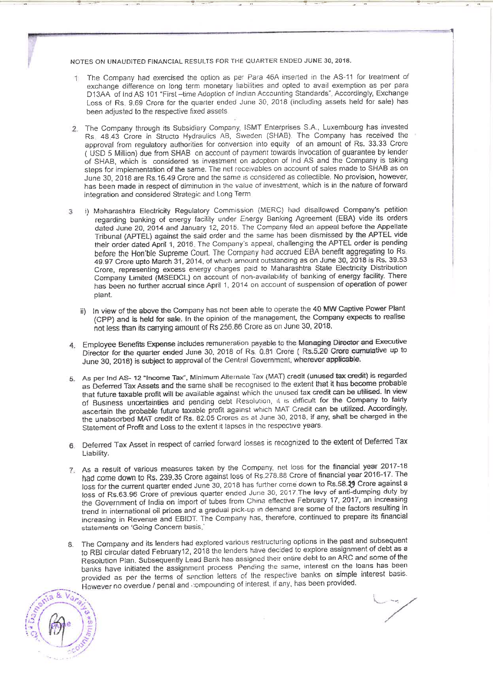NOTES ON UNAUDITED FINANCIAL RESULTS FOR THE QUARTER ENDED JUNE 30,2018.

- The Company had exercised the option as per Para 46A inserted in the AS-11 for treatment of exchange difference on long term monetary liabilities and opted to avail exemption as per para <sup>D</sup>13AA of lnd AS 101 "First -time Adoption of Indian Accounting Standards". Accordingly, Exchange Loss of Rs. 9.69 Crore for the quarter ended June 30, 2018 (including assets held for sale) has been adjusted to the respective fixed assets
- 2 The Company through its Subsidiary Company, ISMT Enterprises S.A, Luxembourg has invested Rs. 48.43 Crore in Structo Hydraulics AB, Sweden (SHAB). The Company has received the approval from regulatory authorities for conversion into equity of an amount of Rs. 33.33 Crore ( USD 5 Million) due from SHAB on account of payment towards invocation of quarantee by lender of SHAB, which is considered 3S investment on adoption of lnd AS and the Company is taking steps for implementation of the same. The net receivables on account of sales made to SHAB as on June 30, 2018 are Rs.16.49 Crore and the same ;s considered as collectible. No provision, however, has been made in respect of diminution in the value of investment, which is in the nature of forward integration and considered Strategic and Long Term
- 3 i) Maharashtra Electricity Regulatory Commission {MERC) had disallowed Company's petition regarding banking of energy facility under Energy Banking Agreement (EBA) vide its orders dated June 20, 2014 and January 12, 2015. The Company filed an appeal before the Appellate Tribunal {APTEL) against the said order and the same has been dismissed by the APTEL vide their order dated April 1, 2016. The Company's appeal, challenging the APTEL order is pending before the Hon'ble Supreme Court. The Company had accrued EBA benefit aggregating to Rs 49.97 Crore upto March 31,2014, of Which amount outstanding as on June 30, 2018 is Rs. 39.53 Crore, representing excess energy charges paid to Maharashtra State Electricity Distribution Company Limited (MSEDCL) on account of non-availability of banking of energy facility. There has been no further accrual since April 1, 2014 on account of suspension of operation of power plant.
	- ii) In view of the above the Company has not been able to operate the 40 MW Captive Power Plant (CPP) and is held for sale. In the opinion of the management, the Company expects to realise not less than its carrying amount of Rs 256.86 Crore as on June 30, 2018.
- 4. Employee Benefrts Expense includes remuneration payable to the Managing Director and Executive Director for the quarter ended June 30. 2018 of Rs. 0.81 Crore ( Rs.5.2.0 Crore cumulative up to June 30, 2018) is subject to approval of the Central Government, wherever applicable.
- 5. As per lnd AS- <sup>12</sup>"Income Tax", Minimum Alternate Tax (MAT) credit (unused tax credit) is regarded as Deferred Tax Assets and the same shall be recognised to the extent that it has become probable that future taxable profit will be available against which the unused tax credit can be utilised. In view of Busmess uncertainties and pending debt Resolution, 1t 1s difficult for the Company to fairly ascertain the probable future taxable profit against which MAT Credit can be utilized. Accordingly, the unabsorbed MAT credit of Rs. 82.05 Crores as at June 30, 2018. if any, shaft be charged in the Statement of Profit and Loss to the extent it lapses in the respective years.
- <sup>6</sup>Deferred Tax Asset in respect of carried forward losses is recognized to the extent of Deferred Tax Liability.
- 7. As a result of various measures taken by the Company, net loss for the financial year 2017-18 had come down to Rs. 239.35 Crore against loss of Rs.278.88 Crore of financial year 2016-17. The loss for the current quarter ended June 30, 2018 has further come down to Rs.58.29 Crore against a loss of Rs.63.96 Crore of previous quarter ended June 30. 2017 The levy of anti-dumping duty by the Government of India on import of tubes from China effective February 17, 2017, an increasing trend in international oil prices and a gradual pick-up in demand are some of the factors resulting in increasing in Revenue and EBIDT. The Company has, therefore, continued to prepare its financial statements on 'Going Concern basis.'
- 8. The Company and its lenders had explored various restructuring options in the past and subsequent to RBI circular dated February12, 2018 the lenders have decided to explore assignment of debt as a Resolution Pian. Subsequently Lead Bank has assigned their cmiire debt to an ARC and some of the banks have initiated the assignment process Pending the same, interest on the loans has been provided as per the terms of sanction letters of the respective banks on simple interest basis. However no overdue / penal and compounding of interest, if any, has been provided.

 $8$   $V<sub>a</sub>$  $\lim_{n \to \infty} \frac{d^n V a_{r, n}}{r}$  $\left(\frac{3}{5}\left(\frac{\beta}{\beta}\right)\right)_{\frac{1}{5}}^{\frac{1}{5}}$  $\frac{1}{\sqrt{25}}$ . .  $\sim$ 

i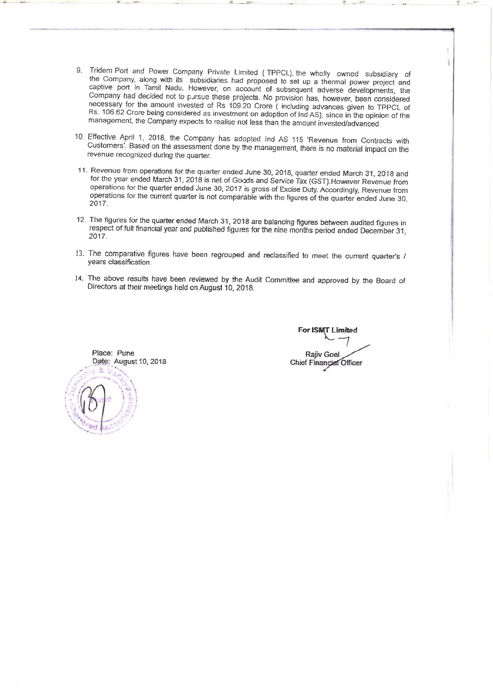- 9. Tridem Port and Power Company Private Limited (TPPCL), the wholly owned subsidiary of the Company, along with its subsidiaries had proposed to set up a thermal power project and captive port in Tamil Nadu. However, on account of subsequent adverse developments, the Company had decided not to pursue these projects. No provision has, however, been considered necessary for the amount invested of Rs 109.20 Crore ( including advances given to TPPCL of Rs. 106.62 Crore being considered as investment on adoption of lnd AS), since in the opinion of the management, the Company expects to realise not less than the amount invested/advanced
- 10 Effective April 1, 2018, the Company has adopted lnd AS 115 'Revenue from Contracts with Customers'. Based on the assessment done by the management, there is no material impact *on* the revenue recognized during the quarter.
- 11. Revenue from operations for the quarter ended June 30, 2018, quarter ended March 31, 2018 and *tor* the year ended March 31, 2018 is net of Goods and Service Tax (GST).However Revenue from operations for the quarter ended June 30, 2017 is gross of Excise Duty. Accordingly, Revenue from operations for the current quarter is not comparable with the figures of the quarter ended June 30. 2017.
- 12. The figures for the quarter ended March 31, 2018 are balancing figures between audited figures in respect of full financial year and published figures for the nine months period ended December 31, 2017.
- 13. The comparative figures have been regrouped and reclassified to meet the current quarter's / years classification.
- 14. The above results have been reviewed by the Audit Committee and approved by the Board of Directors at their meetings held on August 10, 2018.



**For ISMT Limited** For interesting the control of the control of the control of the control of the control of the control of the control of the control of the control of the control of the control of the control of the control of the control <sup>-</sup> **Rajiv Goel Chief Financial Officer**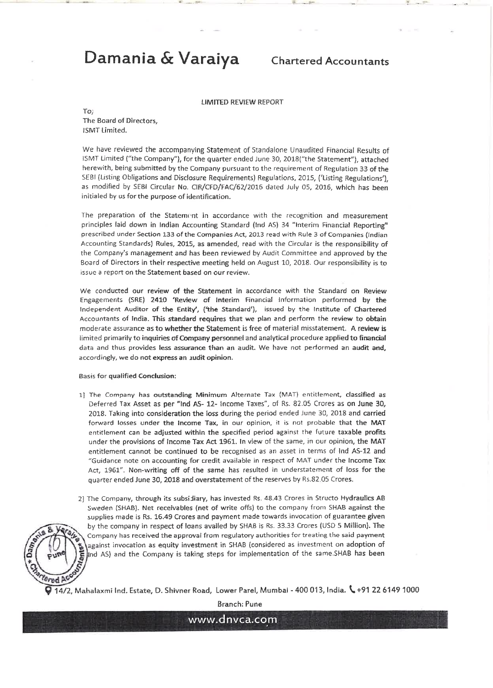# **Damania & Varaiya** Chartered Accountants

:

LIMITED REVIEW REPORT

To;

The Board of Directors, !SMT limited.

We have reviewed the accompanying Statement of Standalone Unaudited Financial Results of ISMT limited ("the Company"), for the quarter ended June 30, 2018{"the Statement"), attached herewith, being submitted by the Company pursuant to the requirement of Regulation 33 of the SEBI (Listing Obligations and Disclosure Requirements) Regulations, 2015, {'listing Regulations'), as modified by SEBI Circular No. CIR/CFD/FAC/62/2016 dated July 05, 2015, which has been initialed by us for the purpose of identification.

The preparation of the Statement in accordance with the recognition and measurement principles laid down in Indian Accounting Standard (lnd AS) 34 "Interim Financial Reporting" prescribed under Section 133 of the Companies Act, 2013 read with Rule 3 of Companies (Indian Accounting Standards) Rules, 2015, as amended, read with the Circular is the responsibility of the Company's management and has been reviewed by Audit Committee and approved by the Board of Directors in their respective meeting held on August 10, 2018. Our responsibility is to issue a report on the Statement based on our review.

We conducted our review of the Statement in accordance with the Standard on Review Engagements (SRE) 2410 'Review of Interim Financial Information performed by the Independent Auditor of the Entity', ('the Standard'), issued by the Institute of Chartered Accountants of India. This standard requires that we plan and perform the review to obtain moderate assurance as to whether the Statement is free of material misstatement. A review is limited primarily to inquiries of Company personnel and analytical procedure applied to financial data and thus provides less assurance than an audit. We have not performed an audit and, accordingly, we do not express an Judit opinion.

#### Basis for qualified Condusion:

- 1] The Company has outstanding Minimum Alternate Tax (MAT) entitlement, classified as Deferred Tax Asset as per "lnd AS- 12- Income Taxes", of Rs. 82.05 Crores as on June 30, 2018. Taking into consideration the loss during the period ended June 30, 2018 and carried forward losses under the Income Tax, in our opinion, it is not probable that the MAT entitlement can be adjusted within the specified period against the future taxable profits under the provisions of Income Tax Act 196L In view of the same, in our opinion, the MAT entitlement cannot be continued to be recognised as an asset in terms of lnd AS-12 and "Guidance note on accounting for credit available in respect of MAT under the Income Tax Act, 1961". Non-writing off of the same has resulted in understatement of loss for the quarter ended June 30, 2018 and overstatement of the reserves by Rs.82.05 Crores.
- 2] The Company, through its subsidiary, has invested Rs. 48.43 Crores in Structo Hydraulics AB Sweden (SHAB). Net receivables (net of write offs) to the company from SHAB against the supplies made is Rs. 16.49 Crores and payment made towards invocation of guarantee given by the company in respect of loans availed by SHAB is Rs . 33.33 Crores (USD 5 Million). The Company has received the approval from regulatory authorities for treating the said payment against invocation as equity investment in SHAB (considered as investment on adoption of Ind AS) and the Company is taking steps for implementation of the same.SHAB has been



Branch: Pune

www.dnvca.com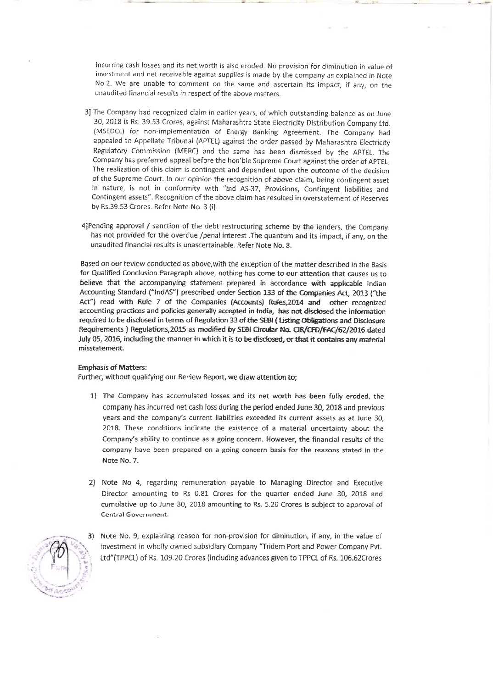incurring cash losses and its net worth is also eroded. No provision for diminution in value of investment and net receivable against supplies is made by the company as explained in Note No.2. We are unable to comment on the same and ascertain its impact, if any, on the unaudited financial results in ~espect of the above matters.

- 3] The Company had recognized claim in earlier years, of which outstanding balance as on June 30, 2018 is Rs. 39.53 Crores, against Maharashtra State Electricity Distribution Company ltd. (MSEDCL) for non-implementation of Energy Banking Agreement. The Company had appealed to Appellate Tribunal (APTEL) against the order passed by Maharashtra Electricity Regulatory Commis~ion (MERC) and the *same has* been dismissed by the APTEL. The Company has preferred appeal before the hon'ble Supreme Court against the order of APTEL. The realization of this claim is contingent and dependent upon the outcome of the decision of the Supreme Court. In our opinion the recognition of above claim, being contingent asset in nature, is not in conformity with "lnd AS-37, Provisions, Contingent liabilities and Contingent assets". Recognition of the above claim has resulted in overstatement of Reserves by Rs.39.53 Crores. Refer Note No. 3 (i).
- 4}Pending approval / sanction of the debt restructuring scheme by the lenders, the Company has not provided for the overclue /penal interest .The quantum and its impact, if any, on the unaudited financial results is unascertainable. Refer Note No.8.

Based on our review conducted as above, with the exception of the matter described in the Basis for Qualified Conclusion Paragraph above, nothing has come to our attention that causes us to believe that the accompanying statement prepared in accordance with applicable Indian Accounting Standard ("lndAS"} prescribed under Section 133 of the Companies Act, 2013 ("the Act") read with Rule 7 of the Companies (Accounts) Rules,2014 and other recognized accounting practices and policies generally accepted in India, has not disclosed the information required to be disclosed in terms of Regulation 33 of the SEBI ( Usting Obtigations and Disclosure Requirements ) Regulations,2015 as modified by SEBI Circular No. CIR/CFD/fAC/62/2016 dated July 05, 2016, including the manner in which it is to be disclosed, or that it contains any material misstatement.

### Emphasis of Matters:

further, without qualifying our Re"iew Report, we draw attention to;

- 1) The Company has. accumulated losses and its net worth has been fully eroded, the company has incurred net cash loss during the period ended June 30, 2018 and previous years and the company's current liabilities exceeded its current assets as at June 30, 2018. These conditions indicate the existence of a material uncertainty about the Company's ability to continue as a going concern. However, the financial results of the company have been prepared on a going concern basis for the reasons stated in the Note No.7.
- 2) Note No 4, regarding remuneration payable to Managing Director and Executive Director amounting to Rs 0.81 Crores for the quarter ended June 30, 2018 and cumulative up to June 30, 2018 amounting to Rs. 5.20 Crores is subject to approval of Central Government.



3) Note No. 9, explaining reason for non-provision for diminution, if any, in the value of investment in wholly owned subsidiary Company "Tridem Port and Power Company Pvt. Ltd"(TPPCL) of Rs. 109.20 Crores (including advances given to TPPCL of Rs. 106.62Crores